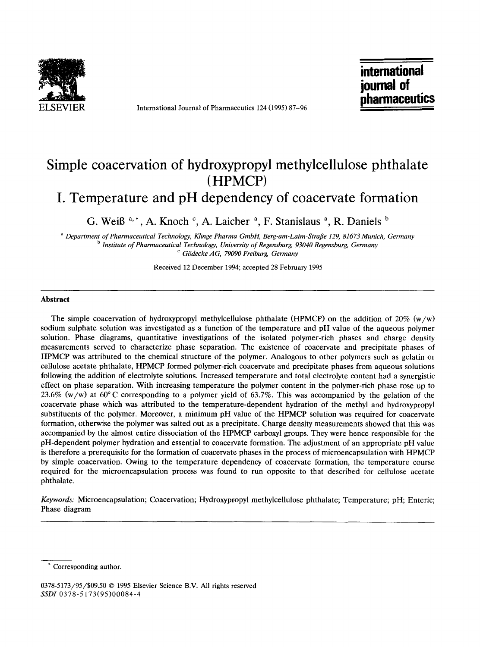

**ELSEVIER** International Journal of Pharmaceutics 124 (1995) 87-96

**international journal of pharmaceutics** 

# **Simple coacervation of hydroxypropyl methylcellulose phthalate (HPMCP)**

**I. Temperature and pH dependency of coacervate formation** 

**G. WeiB a,\*, A. Knoch ~, A. Laicher a, F. Stanislaus a, R. Daniels b** 

*a Department of Pharmaceutical Technology, Klinge Pharma GmbH, Berg-am-Laim-Strafle 129, 81673 Munich, Germany b Institute of Pharmaceutical Technology, University of Regensburg, 93040 Regensburg, Germany c G6decke AG, 79090 Freiburg, Germany* 

Received 12 December 1994; accepted 28 February 1995

#### **Abstract**

The simple coacervation of hydroxypropyl methylcellulose phthalate (HPMCP) on the addition of 20%  $(w/w)$ sodium sulphate solution was investigated as a function of the temperature and pH value of the aqueous polymer solution. Phase diagrams, quantitative investigations of the isolated polymer-rich phases and charge density measurements served to characterize phase separation. The existence of coacervate and precipitate phases of HPMCP was attributed to the chemical structure of the polymer. Analogous to other polymers such as gelatin or cellulose acetate phthalate, HPMCP formed polymer-rich coacervate and precipitate phases from aqueous solutions following the addition of electrolyte solutions. Increased temperature and total electrolyte content had a synergistic effect on phase separation. With increasing temperature the polymer content in the polymer-rich phase rose up to 23.6% (w/w) at 60 $^{\circ}$ C corresponding to a polymer yield of 63.7%. This was accompanied by the gelation of the coacervate phase which was attributed to the temperature-dependent hydration of the methyl and hydroxypropyl substituents of the polymer. Moreover, a minimum pH value of the HPMCP solution was required for coacervate formation, otherwise the polymer was salted out as a precipitate. Charge density measurements showed that this was accompanied by the almost entire dissociation of the HPMCP carboxyl groups. They were hence responsible for the pH-dependent polymer hydration and essential to coacervate formation. The adjustment of an appropriate pH value is therefore a prerequisite for the formation of coacervate phases in the process of microencapsulation with HPMCP by simple coacervation. Owing to the temperature dependency of coacervate formation, the temperature course required for the microencapsulation process was found to run opposite to that described for cellulose acetate phthalate.

*Keywords:* Microencapsulation; Coacervation; Hydroxypropyl methylcellulose phthalate; Temperature; pH; Enteric; Phase diagram

Corresponding author.

<sup>0378-5173/95/\$09.50 © 1995</sup> Elsevier Science B.V. All rights reserved *SSDI* 0378-5173(95)00084-4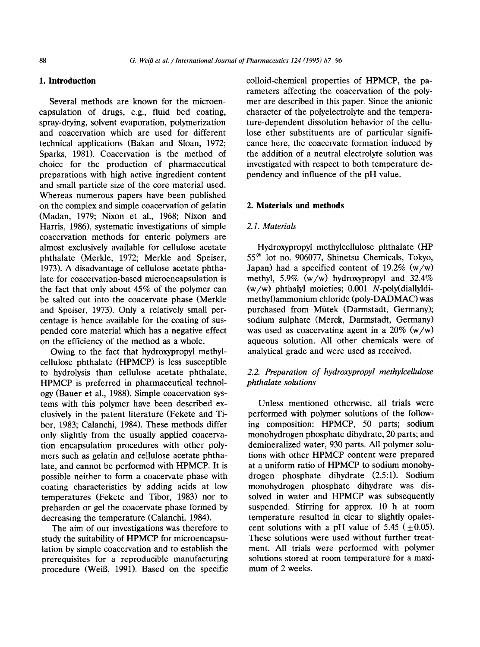## **1. Introduction**

Several methods are known for the microencapsulation of drugs, e.g., fluid bed coating, spray-drying, solvent evaporation, polymerization and coacervation which are used for different technical applications (Bakan and Sloan, 1972; Sparks, 1981). Coacervation is the method of choice for the production of pharmaceutical preparations with high active ingredient content and small particle size of the core material used. Whereas numerous papers have been published on the complex and simple coacervation of gelatin (Madan, 1979; Nixon et al., 1968; Nixon and Harris, 1986), systematic investigations of simple coacervation methods for enteric polymers are almost exclusively available for cellulose acetate phthalate (Merkle, 1972; Merkle and Speiser, 1973). A disadvantage of cellulose acetate phthalate for coacervation-based microencapsulation is the fact that only about 45% of the polymer can be salted out into the coacervate phase (Merkle and Speiser, 1973). Only a relatively small percentage is hence available for the coating of suspended core material which has a negative effect on the efficiency of the method as a whole.

Owing to the fact that hydroxypropyl methylcellulose phthalate (HPMCP) is less susceptible to hydrolysis than cellulose acetate phthalate, HPMCP is preferred in pharmaceutical technology (Bauer et al., 1988). Simple coacervation systems with this polymer have been described exclusively in the patent literature (Fekete and Tibor, 1983; Calanchi, 1984). These methods differ only slightly from the usually applied coacervation encapsulation procedures with other polymers such as gelatin and cellulose acetate phthalate, and cannot be performed with HPMCP. It is possible neither to form a coacervate phase with coating characteristics by adding acids at low temperatures (Fekete and Tibor, 1983) nor to preharden or gel the coacervate phase formed by decreasing the temperature (Calanchi, 1984).

The aim of our investigations was therefore to study the suitability of HPMCP for microencapsulation by simple coacervation and to establish the prerequisites for a reproducible manufacturing procedure (WeiB, 1991). Based on the specific colloid-chemical properties of HPMCP, the parameters affecting the coacervation of the polymer are described in this paper. Since the anionic character of the polyelectrolyte and the temperature-dependent dissolution behavior of the cellulose ether substituents are of particular significance here, the coacervate formation induced by the addition of a neutral electrolyte solution was investigated with respect to both temperature dependency and influence of the pH value.

## **2. Materials and methods**

#### *2.1. Materials*

Hydroxypropyl methylcellulose phthalate (HP 55 ® lot no. 906077, Shinetsu Chemicals, Tokyo, Japan) had a specified content of 19.2%  $(w/w)$ methyl,  $5.9\%$  (w/w) hydroxypropyl and  $32.4\%$ (w/w) phthalyl moieties; 0.001 N-poly(diallyldimethyl)ammonium chloride (poly-DADMAC) was purchased from Miitek (Darmstadt, Germany); sodium sulphate (Merck, Darmstadt, Germany) was used as coacervating agent in a  $20\%$  (w/w) aqueous solution. All other chemicals were of analytical grade and were used as received.

# *2.2. Preparation of hydroxypropyl methylcellulose phthalate solutions*

Unless mentioned otherwise, all trials were performed with polymer solutions of the following composition: HPMCP, 50 parts; sodium monohydrogen phosphate dihydrate, 20 parts; and demineralized water, 930 parts. All polymer solutions with other HPMCP content were prepared at a uniform ratio of HPMCP to sodium monohydrogen phosphate dihydrate (2.5:1). Sodium monohydrogen phosphate dihydrate was dissolved in water and HPMCP was subsequently suspended. Stirring for approx. 10 h at room temperature resulted in clear to slightly opalescent solutions with a pH value of 5.45 ( $\pm$  0.05). These solutions were used without further treatment. All trials were performed with polymer solutions stored at room temperature for a maximum of 2 weeks.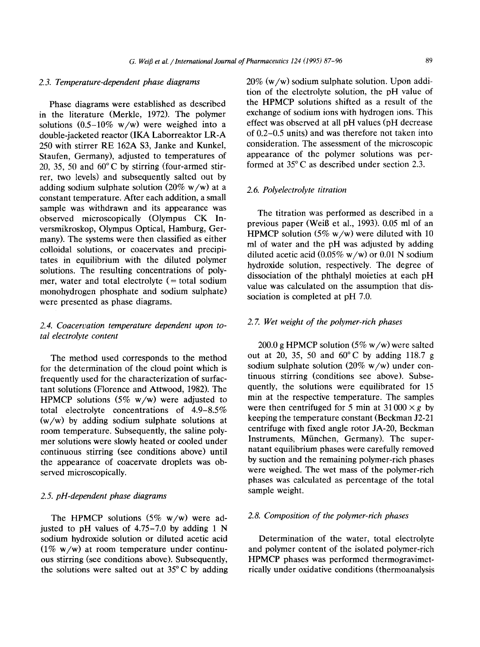## *2.3. Temperature-dependent phase diagrams*

Phase diagrams were established as described in the literature (Merkle, 1972). The polymer solutions  $(0.5-10\% \text{ w/w})$  were weighed into a double-jacketed reactor (IKA Laborreaktor LR-A 250 with stirrer RE 162A \$3, Janke and Kunkel, Staufen, Germany), adjusted to temperatures of 20, 35, 50 and  $60^{\circ}$ C by stirring (four-armed stirrer, two levels) and subsequently salted out by adding sodium sulphate solution  $(20\% \text{ w/w})$  at a constant temperature. After each addition, a small sample was withdrawn and its appearance was observed microscopically (Olympus CK Inversmikroskop, Olympus Optical, Hamburg, Germany). The systems were then classified as either colloidal solutions, or coacervates and precipitates in equilibrium with the diluted polymer solutions. The resulting concentrations of polymer, water and total electrolyte  $($  = total sodium monohydrogen phosphate and sodium sulphate) were presented as phase diagrams.

# *2.4. Coacervation temperature dependent upon total electrolyte content*

The method used corresponds to the method for the determination of the cloud point which is frequently used for the characterization of surfactant solutions (Florence and Attwood, 1982). The HPMCP solutions (5%  $w/w$ ) were adjusted to total electrolyte concentrations of 4.9-8.5% (w/w) by adding sodium sulphate solutions at room temperature. Subsequently, the saline polymer solutions were slowly heated or cooled under continuous stirring (see conditions above) until the appearance of coacervate droplets was observed microscopically.

#### *2.5. pH-dependent phase diagrams*

The HPMCP solutions  $(5\% \text{ w/w})$  were adjusted to pH values of  $4.75-7.0$  by adding 1 N sodium hydroxide solution or diluted acetic acid  $(1\% \text{ w/w})$  at room temperature under continuous stirring (see conditions above). Subsequently, the solutions were salted out at 35°C by adding 20% (w/w) sodium sulphate solution. Upon addition of the electrolyte solution, the pH value of the HPMCP solutions shifted as a result of the exchange of sodium ions with hydrogen ions. This effect was observed at all pH values (pH decrease of 0.2-0.5 units) and was therefore not taken into consideration. The assessment of the microscopic appearance of the polymer solutions was performed at 35°C as described under section 2.3.

#### *2.6. Polyelectrolyte titration*

The titration was performed as described in a previous paper (Weiß et al., 1993). 0.05 ml of an HPMCP solution (5%  $w/w$ ) were diluted with 10 ml of water and the pH was adjusted by adding diluted acetic acid  $(0.05\% \text{ w/w})$  or 0.01 N sodium hydroxide solution, respectively. The degree of dissociation of the phthalyl moieties at each pH value was calculated on the assumption that dissociation is completed at pH 7.0.

#### *2. 7. Wet weight of the polymer-rich phases*

200.0 g HPMCP solution (5% w/w) were salted out at 20, 35, 50 and  $60^{\circ}$ C by adding 118.7 g sodium sulphate solution (20%  $w/w$ ) under continuous stirring (conditions see above). Subsequently, the solutions were equilibrated for 15 min at the respective temperature. The samples were then centrifuged for 5 min at  $31000 \times g$  by keeping the temperature constant (Beckman J2-21 centrifuge with fixed angle rotor JA-20, Beckman Instruments, Miinchen, Germany). The supernatant equilibrium phases were carefully removed by suction and the remaining polymer-rich phases were weighed. The wet mass of the polymer-rich phases was calculated as percentage of the total sample weight.

## *2.8. Composition of the polymer-rich phases*

Determination of the water, total electrolyte and polymer content of the isolated polymer-rich HPMCP phases was performed thermogravimetrically under oxidative conditions (thermoanalysis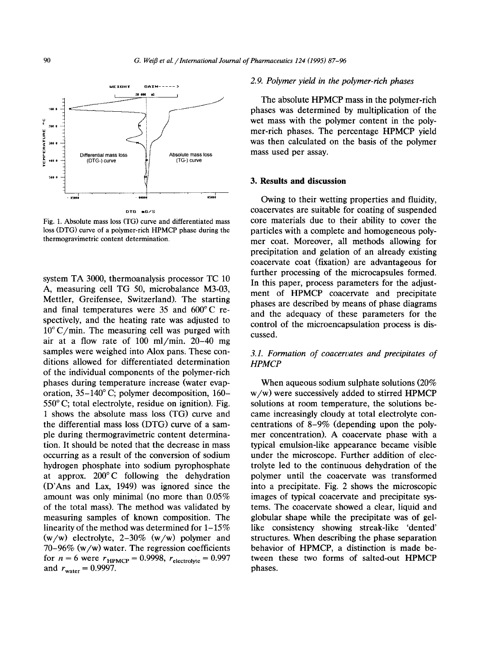

Fig. 1. Absolute mass loss (TO) curve and differentiated mass loss (DTG) curve of a polymer-rich HPMCP phase during the thermogravimetric content determination.

system TA 3000, thermoanalysis processor TC 10 A, measuring cell TG 50, microbalance M3-03, Mettler, Greifensee, Switzerland). The starting and final temperatures were 35 and 600°C respectively, and the heating rate was adjusted to  $10^{\circ}$  C/min. The measuring cell was purged with air at a flow rate of 100 ml/min. 20-40 mg samples were weighed into Alox pans. These conditions allowed for differentiated determination of the individual components of the polymer-rich phases during temperature increase (water evaporation,  $35-140^{\circ}$  C; polymer decomposition,  $160 550^{\circ}$  C; total electrolyte, residue on ignition). Fig. 1 shows the absolute mass loss (TG) curve and the differential mass loss (DTG) curve of a sample during thermogravimetric content determination. It should be noted that the decrease in mass occurring as a result of the conversion of sodium hydrogen phosphate into sodium pyrophosphate at approx. 200°C following the dehydration (D'Ans and Lax, 1949) was ignored since the amount was only minimal (no more than 0.05% of the total mass). The method was validated by measuring samples of known composition. The linearity of the method was determined for 1-15%  $(w/w)$  electrolyte, 2-30%  $(w/w)$  polymer and  $70-96\%$  (w/w) water. The regression coefficients for  $n = 6$  were  $r_{HPMCP} = 0.9998$ ,  $r_{electrolyte} = 0.997$ and  $r_{\text{water}} = 0.9997$ .

#### *2. 9. Polymer yield in the polymer-rich phases*

The absolute HPMCP mass in the polymer-rich phases was determined by multiplication of the wet mass with the polymer content in the polymer-rich phases. The percentage HPMCP yield was then calculated on the basis of the polymer mass used per assay.

#### **3. Results and discussion**

Owing to their wetting properties and fluidity, coacervates are suitable for coating of suspended core materials due to their ability to cover the particles with a complete and homogeneous polymer coat. Moreover, all methods allowing for precipitation and gelation of an already existing coacervate coat (fixation) are advantageous for further processing of the microcapsules formed. In this paper, process parameters for the adjustment of HPMCP coacervate and precipitate phases are described by means of phase diagrams and the adequacy of these parameters for the control of the microencapsulation process is discussed.

# *3.1. Formation of coacervates and precipitates of HPMCP*

When aqueous sodium sulphate solutions (20% w/w) were successively added to stirred HPMCP solutions at room temperature, the solutions became increasingly cloudy at total electrolyte concentrations of 8-9% (depending upon the polymer concentration). A coacervate phase with a typical emulsion-like appearance became visible under the microscope. Further addition of electrolyte led to the continuous dehydration of the polymer until the coacervate was transformed into a precipitate. Fig. 2 shows the microscopic images of typical coacervate and precipitate systems. The coacervate showed a clear, liquid and globular shape while the precipitate was of gellike consistency showing streak-like 'dented' structures. When describing the phase separation behavior of HPMCP, a distinction is made between these two forms of salted-out HPMCP phases.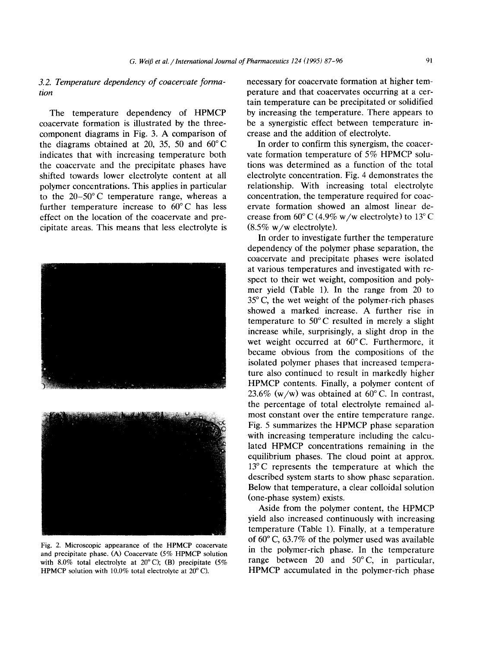# *3.2. Temperature dependency of coacervate formation*

The temperature dependency of HPMCP coacervate formation is illustrated by the threecomponent diagrams in Fig. 3. A comparison of the diagrams obtained at 20, 35, 50 and 60°C indicates that with increasing temperature both the coacervate and the precipitate phases have shifted towards lower electrolyte content at all polymer concentrations. This applies in particular to the 20-50°C temperature range, whereas a further temperature increase to 60°C has less effect on the location of the coacervate and precipitate areas. This means that less electrolyte is





Fig. 2. Microscopic appearance of the HPMCP coacervate and precipitate phase. (A) Coacervate (5% HPMCP solution with 8.0% total electrolyte at  $20^{\circ}$  C); (B) precipitate (5% HPMCP solution with 10.0% total electrolyte at  $20^{\circ}$  C).

necessary for coacervate formation at higher temperature and that coacervates occurring at a certain temperature can be precipitated or solidified by increasing the temperature. There appears to be a synergistic effect between temperature increase and the addition of electrolyte.

In order to confirm this synergism, the coacervate formation temperature of 5% HPMCP solutions was determined as a function of the total electrolyte concentration. Fig. 4 demonstrates the relationship. With increasing total electrolyte concentration, the temperature required for coacervate formation showed an almost linear decrease from  $60^{\circ}$  C (4.9% w/w electrolyte) to 13°C  $(8.5\% \text{ w/w}$  electrolyte).

In order to investigate further the temperature dependency of the polymer phase separation, the coacervate and precipitate phases were isolated at various temperatures and investigated with respect to their wet weight, composition and polymer yield (Table 1). In the range from 20 to  $35^{\circ}$  C, the wet weight of the polymer-rich phases showed a marked increase. A further rise in temperature to 50°C resulted in merely a slight increase while, surprisingly, a slight drop in the wet weight occurred at 60°C. Furthermore, it became obvious from the compositions of the isolated polymer phases that increased temperature also continued to result in markedly higher HPMCP contents. Finally, a polymer content of 23.6% (w/w) was obtained at  $60^{\circ}$  C. In contrast, the percentage of total electrolyte remained almost constant over the entire temperature range. Fig. 5 summarizes the HPMCP phase separation with increasing temperature including the calculated HPMCP concentrations remaining in the equilibrium phases. The cloud point at approx. 13°C represents the temperature at which the described system starts to show phase separation. Below that temperature, a clear colloidal solution (one-phase system) exists.

Aside from the polymer content, the HPMCP yield also increased continuously with increasing temperature (Table 1). Finally, at a temperature of  $60^{\circ}$  C,  $63.7\%$  of the polymer used was available in the polymer-rich phase. In the temperature range between 20 and 50°C, in particular, HPMCP accumulated in the polymer-rich phase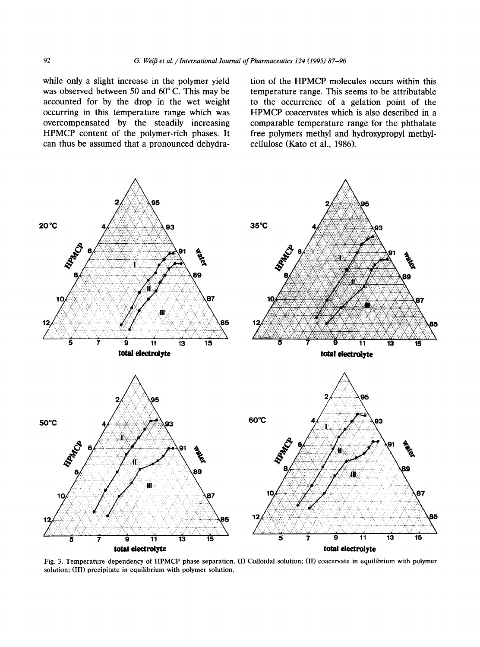while only a slight increase in the polymer yield was observed between 50 and  $60^{\circ}$  C. This may be accounted for by the drop in the wet weight occurring in this temperature range which was overcompensated by the steadily increasing HPMCP content of the polymer-rich phases. It can thus be assumed that a pronounced dehydration of the HPMCP molecules occurs within this temperature range. This seems to be attributable to the occurrence of a gelation point of the HPMCP coacervates which is also described in a comparable temperature range for the phthalate free polymers methyl and hydroxypropyl methylcellulose (Kato et al., 1986).



Fig. 3. Temperature dependency of HPMCP phase separation. (I) Colloidal solution; (II) coacervate in equilibrium with polymer solution; (III) precipitate in equilibrium with polymer solution.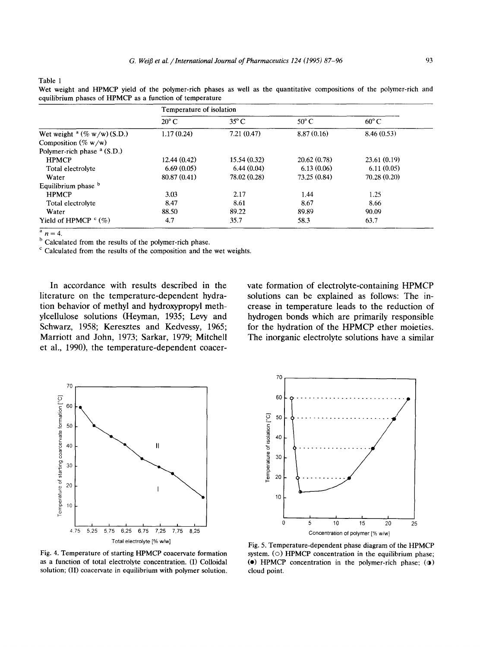Table 1

Wet weight and HPMCP yield of the polymer-rich phases as well as the quantitative compositions of the polymer-rich and equilibrium phases of HPMCP as a function of temperature

|                                           | Temperature of isolation |                |                |                |  |
|-------------------------------------------|--------------------------|----------------|----------------|----------------|--|
|                                           | $20^{\circ}$ C           | $35^{\circ}$ C | $50^{\circ}$ C | $60^{\circ}$ C |  |
| Wet weight $a \left(\% w/w\right)$ (S.D.) | 1.17(0.24)               | 7.21(0.47)     | 8.87(0.16)     | 8.46(0.53)     |  |
| Composition (% $w/w$ )                    |                          |                |                |                |  |
| Polymer-rich phase $a(S.D.)$              |                          |                |                |                |  |
| <b>HPMCP</b>                              | 12.44(0.42)              | 15.54 (0.32)   | 20.62 (0.78)   | 23.61(0.19)    |  |
| Total electrolyte                         | 6.69(0.05)               | 6.44(0.04)     | 6.13(0.06)     | 6.11(0.05)     |  |
| Water                                     | 80.87 (0.41)             | 78.02 (0.28)   | 73.25 (0.84)   | 70.28 (0.20)   |  |
| Equilibrium phase b                       |                          |                |                |                |  |
| <b>HPMCP</b>                              | 3.03                     | 2.17           | 1.44           | 1.25           |  |
| Total electrolyte                         | 8.47                     | 8.61           | 8.67           | 8.66           |  |
| Water                                     | 88.50                    | 89.22          | 89.89          | 90.09          |  |
| Yield of HPMCP $C(\%)$                    | 4.7                      | 35.7           | 58.3           | 63.7           |  |

 $\overline{\frac{a}{n}} = 4.$ 

<sup>b</sup> Calculated from the results of the polymer-rich phase.

 $c$  Calculated from the results of the composition and the wet weights.

**In accordance with results described in the literature on the temperature-dependent hydration behavior of methyl and hydroxypropyl methylcellulose solutions (Heyman, 1935; Levy and Schwarz, 1958; Keresztes and Kedvessy, 1965; Marriott and John, 1973; Sarkar, 1979; Mitchell et al., 1990), the temperature-dependent coacer-** **vate formation of electrolyte-containing HPMCP solutions can be explained as follows: The increase in temperature leads to the reduction of hydrogen bonds which are primarily responsible for the hydration of the HPMCP ether moieties. The inorganic electrolyte solutions have a similar** 





Fig. 4. Temperature of starting HPMCP coacervate formation as a function of total electrolyte concentration. (I) Colloidal solution; (II) coacervate in equilibrium with polymer solution.

Fig. 5. Temperature-dependent phase diagram of the HPMCP system. (O) HPMCP concentration in the equilibrium phase;  $\bullet$ ) HPMCP concentration in the polymer-rich phase;  $\circ$ ) cloud point.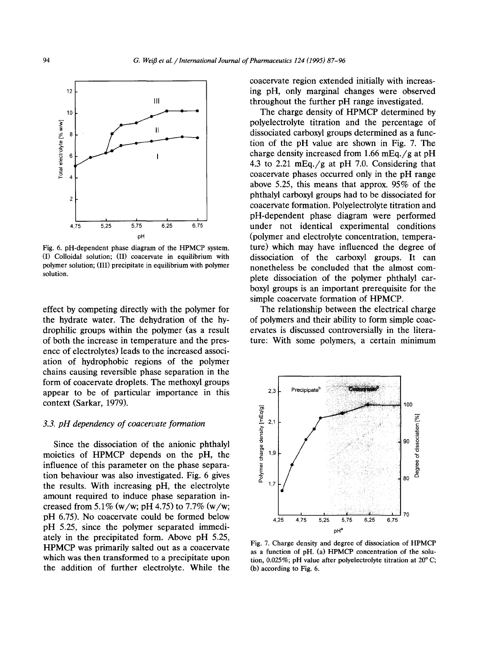

Fig. 6. pH-dependent phase diagram of the HPMCP system. (I) Colloidal solution; (II) coacervate in equilibrium with polymer solution; (III) precipitate in equilibrium with polymer solution,

effect by competing directly with the polymer for the hydrate water. The dehydration of the hydrophilic groups within the polymer (as a result of both the increase in temperature and the presence of electrolytes) leads to the increased association of hydrophobic regions of the polymer chains causing reversible phase separation in the form of coacervate droplets. The methoxyl groups appear to be of particular importance in this context (Sarkar, 1979).

#### *3.3. pH dependency of coacervate formation*

Since the dissociation of the anionic phthalyl moieties of HPMCP depends on the pH, the influence of this parameter on the phase separation behaviour was also investigated. Fig. 6 gives the results. With increasing pH, the electrolyte amount required to induce phase separation increased from 5.1% (w/w; pH 4.75) to 7.7% (w/w; pH 6.75). No coacervate could be formed below pH 5.25, since the polymer separated immediately in the precipitated form. Above pH 5.25, HPMCP was primarily salted out as a coacervate which was then transformed to a precipitate upon the addition of further electrolyte. While the coacervate region extended initially with increasing pH, only marginal changes were observed throughout the further pH range investigated.

The charge density of HPMCP determined by polyelectrolyte titration and the percentage of dissociated carboxyl groups determined as a function of the pH value are shown in Fig. 7. The charge density increased from 1.66 mEq./g at pH 4.3 to 2.21 mEq./g at pH 7.0. Considering that coacervate phases occurred only in the pH range above 5.25, this means that approx. 95% of the phthalyl carboxyl groups had to be dissociated for coacervate formation. Polyelectrolyte titration and pH-dependent phase diagram were performed under not identical experimental conditions (polymer and electrolyte concentration, temperature) which may have influenced the degree of dissociation of the carboxyl groups. It can nonetheless be concluded that the almost complete dissociation of the polymer phthalyl carboxyl groups is an important prerequisite for the simple coacervate formation of HPMCP.

The relationship between the electrical charge of polymers and their ability to form simple coacervates is discussed controversially in the literature: With some polymers, a certain minimum



Fig. 7. Charge density and degree of dissociation of HPMCP as a function of pH. (a) HPMCP concentration of the solution,  $0.025\%$ ; pH value after polyelectrolyte titration at  $20^{\circ}$  C; (b) according to Fig. 6.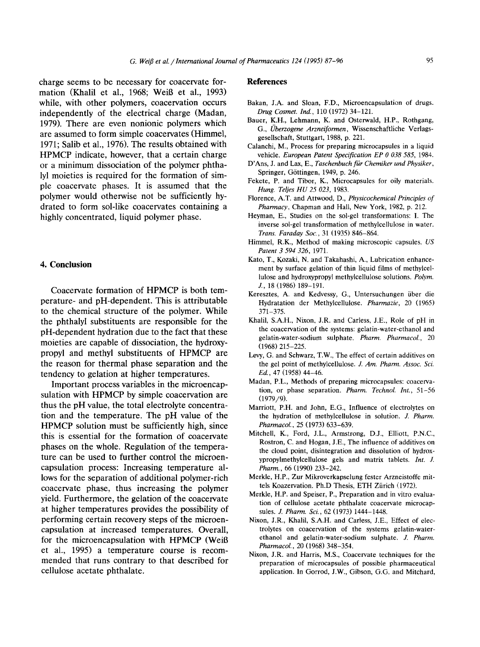charge seems to be necessary for coacervate formation (Khalil et al., 1968; WeiB et al., 1993) while, with other polymers, coacervation occurs independently of the electrical charge (Madan, 1979). There are even nonionic polymers which are assumed to form simple coacervates (Himmel, 1971; Salib et al., 1976). The results obtained with HPMCP indicate, however, that a certain charge or a minimum dissociation of the polymer phthalyl moieties is required for the formation of simple coacervate phases. It is assumed that the polymer would otherwise not be sufficiently hydrated to form sol-like coacervates containing a highly concentrated, liquid polymer phase.

## **4. Conclusion**

Coacervate formation of HPMCP is both temperature- and pH-dependent. This is attributable to the chemical structure of the polymer. While the phthalyl substituents are responsible for the pH-dependent hydration due to the fact that these moieties are capable of dissociation, the hydroxypropyl and methyl substituents of HPMCP are the reason for thermal phase separation and the tendency to gelation at higher temperatures.

Important process variables in the microencapsulation with HPMCP by simple coacervation are thus the pH value, the total electrolyte concentration and the temperature. The pH value of the HPMCP solution must be sufficiently high, since this is essential for the formation of coacervate phases on the whole. Regulation of the temperature can be used to further control the microencapsulation process: Increasing temperature allows for the separation of additional polymer-rich coacervate phase, thus increasing the polymer yield. Furthermore, the gelation of the coacervate at higher temperatures provides the possibility of performing certain recovery steps of the microencapsulation at increased temperatures. Overall, for the microencapsulation with HPMCP (WeiB et al., 1995) a temperature course is recommended that runs contrary to that described for cellulose acetate phthalate,

#### **References**

- Bakan, J.A. and Sloan, F.D., Microencapsulation of drugs. *Drug Cosmet. Ind.,* 110 (1972) 34-121.
- Bauer, K.H., Lehmann, K. and Osterwald, H.P., Rothgang, G., *l]berzogene Arzneiformen,* Wissenschaftliche Verlagsgesellschaft, Stuttgart, 1988, p. 221.
- Calanchi, M., Process for preparing microcapsules in a liquid vehicle. *European Patent Specification EP 0 038 585*, 1984.
- D'Ans, J. and Lax, E., *Taschenbuch fiir Chemiker und Physiker,*  Springer, Göttingen, 1949, p. 246.
- Fekete, P. and Tibor, K., Microcapsules for oily materials. *Hung Teljes HU 25 023,* 1983.
- Florence, A.T. and Attwood, D., *Physicochemical Principles of Pharmacy,* Chapman and Hall, New York, 1982, p. 212.
- Heyman, E., Studies on the sol-gel transformations: I. The inverse sol-gel transformation of methylcellulose in water. *Trans. Faraday Soc.,* 31 (1935) 846-864.
- Himmel, R.K., Method of making microscopic capsules. *US Patent 3 594 326,* 1971.
- Kato, T., Kozaki, N. and Takahashi, A., Lubrication enhancement by surface gelation of thin liquid films of methylcellulose and hydroxypropyl methylcellulose solutions. *Polym.*  J., 18 (1986) 189-191.
- Keresztes, A. and Kedvessy, G., Untersuchungen iiber die Hydratation der Methylcellulose. *Pharmazie,* 20 (1965) 371-375.
- Khalil, S.A.H., Nixon, J.R. and Carless, J.E., Role of pH in the coacervation of the systems: gelatin-water-ethanol and gelatin-water-sodium sulphate. *Pharm. Pharmacol.,* 20 (1968) 215-225.
- Levy, G. and Schwarz, T.W., The effect of certain additives on the gel point of methylcellulose. *J. Am. Pharm. Assoc. Sci. Ed.,* 47 (1958) 44-46.
- Madan, P.L., Methods of preparing microcapsules: coacervation, or phase separation. *Pharm. TechnoL Int.,* 51-56 (1979/9).
- Marriott, P.H. and John, E.G., Influence of electrolytes on the hydration of methylcellulose in solution. *J. Pharm. PharrnacoL, 25* (1973) 633-639.
- Mitchell, K., Ford, J.L., Armstrong, D.J., Elliott, P.N.C., Rostron, C. and Hogan, J.E., The influence of additives on the cloud point, disintegration and dissolution of hydroxypropylmethylcellulose gels and matrix tablets. *Int. J. Pharm.,* 66 (1990) 233-242.
- Merkle, H.P., Zur Mikroverkapselung fester Arzneistoffe mittels Koazervation. Ph.D Thesis, ETH Ziirich (1972).
- Merkle, H.P. and Speiser, P., Preparation and in vitro evaluation of cellulose acetate phthalate coacervale microcapsules. *J. Pharm. Sci.,* 62 (1973) 1444-1448.
- Nixon, J.R., Khalil, S.A.H. and Carless, J.E., Effect of electrolytes on coacervation of the systems gelatin-waterethanol and gelatin-water-sodium sulphate. *J. Pharm. PharmacoL, 20* (1968) 348-354.
- Nixon, J.R. and Harris, M.S., Coacervate techniques for the preparation of microcapsules of possible pharmaceutical application. In Gorrod, J.W., Gibson, G.G. arid Mitchard,